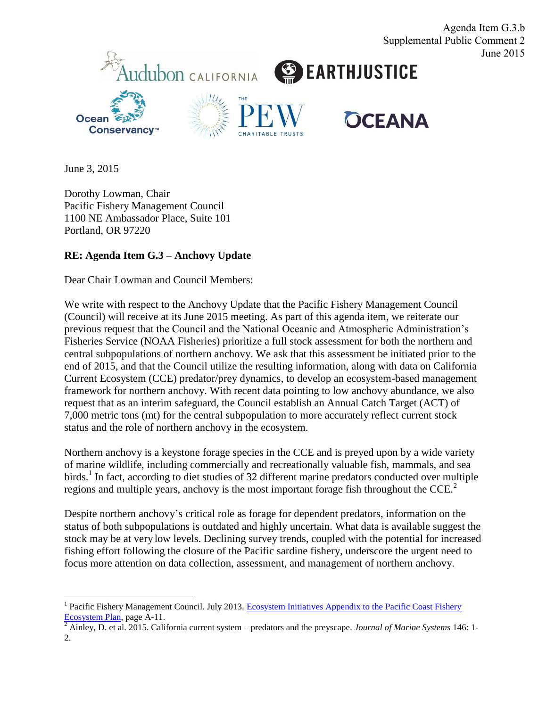

Agenda Item G.3.b

June 3, 2015

Dorothy Lowman, Chair Pacific Fishery Management Council 1100 NE Ambassador Place, Suite 101 Portland, OR 97220

## **RE: Agenda Item G.3 – Anchovy Update**

Dear Chair Lowman and Council Members:

We write with respect to the Anchovy Update that the Pacific Fishery Management Council (Council) will receive at its June 2015 meeting. As part of this agenda item, we reiterate our previous request that the Council and the National Oceanic and Atmospheric Administration's Fisheries Service (NOAA Fisheries) prioritize a full stock assessment for both the northern and central subpopulations of northern anchovy. We ask that this assessment be initiated prior to the end of 2015, and that the Council utilize the resulting information, along with data on California Current Ecosystem (CCE) predator/prey dynamics, to develop an ecosystem-based management framework for northern anchovy. With recent data pointing to low anchovy abundance, we also request that as an interim safeguard, the Council establish an Annual Catch Target (ACT) of 7,000 metric tons (mt) for the central subpopulation to more accurately reflect current stock status and the role of northern anchovy in the ecosystem.

Northern anchovy is a keystone forage species in the CCE and is preyed upon by a wide variety of marine wildlife, including commercially and recreationally valuable fish, mammals, and sea birds.<sup>1</sup> In fact, according to diet studies of 32 different marine predators conducted over multiple regions and multiple years, anchovy is the most important forage fish throughout the  $CCE<sup>2</sup>$ 

Despite northern anchovy's critical role as forage for dependent predators, information on the status of both subpopulations is outdated and highly uncertain. What data is available suggest the stock may be at very low levels. Declining survey trends, coupled with the potential for increased fishing effort following the closure of the Pacific sardine fishery, underscore the urgent need to focus more attention on data collection, assessment, and management of northern anchovy.

<sup>&</sup>lt;sup>1</sup> Pacific Fishery Management Council. July 2013. Ecosystem Initiatives Appendix to the Pacific Coast Fishery [Ecosystem Plan,](http://www.pcouncil.org/wp-content/uploads/FEP_Initiatives_Appendix_FINAL_July2013.pdf) page A-11. 2 Ainley, D. et al. 2015. California current system – predators and the preyscape. *Journal of Marine Systems* 146: 1-

<sup>2.</sup>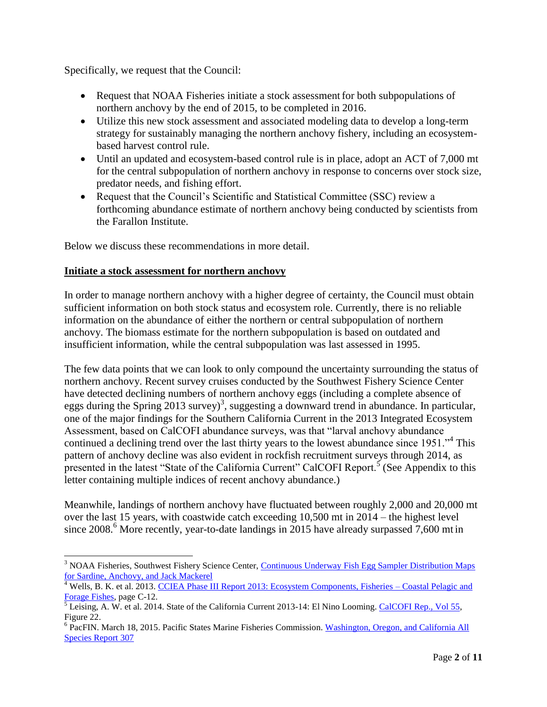Specifically, we request that the Council:

- Request that NOAA Fisheries initiate a stock assessment for both subpopulations of northern anchovy by the end of 2015, to be completed in 2016.
- Utilize this new stock assessment and associated modeling data to develop a long-term strategy for sustainably managing the northern anchovy fishery, including an ecosystembased harvest control rule.
- Until an updated and ecosystem-based control rule is in place, adopt an ACT of 7,000 mt for the central subpopulation of northern anchovy in response to concerns over stock size, predator needs, and fishing effort.
- Request that the Council's Scientific and Statistical Committee (SSC) review a forthcoming abundance estimate of northern anchovy being conducted by scientists from the Farallon Institute.

Below we discuss these recommendations in more detail.

#### **Initiate a stock assessment for northern anchovy**

In order to manage northern anchovy with a higher degree of certainty, the Council must obtain sufficient information on both stock status and ecosystem role. Currently, there is no reliable information on the abundance of either the northern or central subpopulation of northern anchovy. The biomass estimate for the northern subpopulation is based on outdated and insufficient information, while the central subpopulation was last assessed in 1995.

The few data points that we can look to only compound the uncertainty surrounding the status of northern anchovy. Recent survey cruises conducted by the Southwest Fishery Science Center have detected declining numbers of northern anchovy eggs (including a complete absence of eggs during the Spring 2013 survey)<sup>3</sup>, suggesting a downward trend in abundance. In particular, one of the major findings for the Southern California Current in the 2013 Integrated Ecosystem Assessment, based on CalCOFI abundance surveys, was that "larval anchovy abundance continued a declining trend over the last thirty years to the lowest abundance since 1951."<sup>4</sup> This pattern of anchovy decline was also evident in rockfish recruitment surveys through 2014, as presented in the latest "State of the California Current" CalCOFI Report.<sup>5</sup> (See Appendix to this letter containing multiple indices of recent anchovy abundance.)

Meanwhile, landings of northern anchovy have fluctuated between roughly 2,000 and 20,000 mt over the last 15 years, with coastwide catch exceeding 10,500 mt in 2014 – the highest level since  $2008<sup>6</sup>$  More recently, year-to-date landings in 2015 have already surpassed 7,600 mt in

 $\overline{a}$ <sup>3</sup> NOAA Fisheries, Southwest Fishery Science Center, Continuous Underway Fish Egg Sampler Distribution Maps [for Sardine, Anchovy, and Jack Mackerel](https://swfsc.noaa.gov/textblock.aspx?Division=FRD&id=16135)

<sup>&</sup>lt;sup>4</sup> Wells, B. K. et al. 2013. [CCIEA Phase III Report 2013: Ecosystem Components, Fisheries –](http://www.noaa.gov/iea/Assets/iea/california/Report/pdf/5.Coastal%20pelagics%20forage_2013.pdf) Coastal Pelagic and [Forage Fishes,](http://www.noaa.gov/iea/Assets/iea/california/Report/pdf/5.Coastal%20pelagics%20forage_2013.pdf) page C-12.

<sup>&</sup>lt;sup>5</sup> Leising, A. W. et al. 2014. State of the California Current 2013-14: El Nino Looming. [CalCOFI Rep., Vol 55,](http://www.calcofi.org/publications/calcofireports/v55/Vol_55_SOTCC_51-87.pdf) Figure 22.

<sup>&</sup>lt;sup>6</sup> PacFIN. March 18, 2015. Pacific States Marine Fisheries Commission. Washington, Oregon, and California All [Species Report 307](http://pacfin.psmfc.org/pacfin_pub/data_rpts_pub/all_sp_rpts_pub/r307_woc14.txt)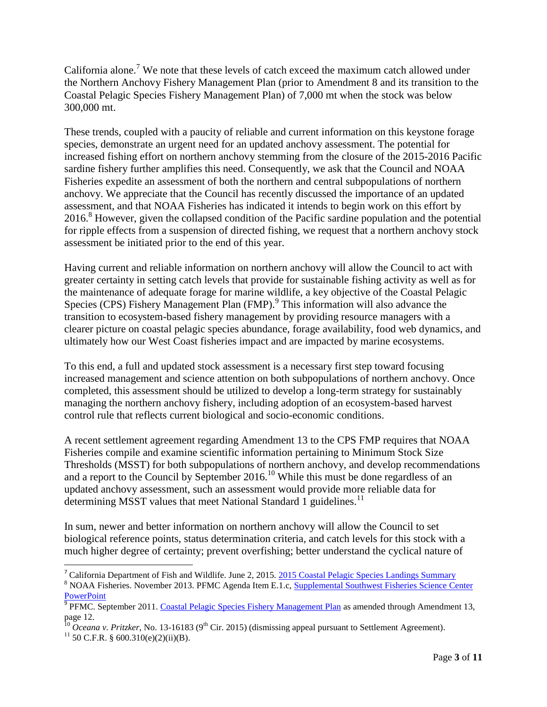California alone.<sup>7</sup> We note that these levels of catch exceed the maximum catch allowed under the Northern Anchovy Fishery Management Plan (prior to Amendment 8 and its transition to the Coastal Pelagic Species Fishery Management Plan) of 7,000 mt when the stock was below 300,000 mt.

These trends, coupled with a paucity of reliable and current information on this keystone forage species, demonstrate an urgent need for an updated anchovy assessment. The potential for increased fishing effort on northern anchovy stemming from the closure of the 2015-2016 Pacific sardine fishery further amplifies this need. Consequently, we ask that the Council and NOAA Fisheries expedite an assessment of both the northern and central subpopulations of northern anchovy. We appreciate that the Council has recently discussed the importance of an updated assessment, and that NOAA Fisheries has indicated it intends to begin work on this effort by 2016.<sup>8</sup> However, given the collapsed condition of the Pacific sardine population and the potential for ripple effects from a suspension of directed fishing, we request that a northern anchovy stock assessment be initiated prior to the end of this year.

Having current and reliable information on northern anchovy will allow the Council to act with greater certainty in setting catch levels that provide for sustainable fishing activity as well as for the maintenance of adequate forage for marine wildlife, a key objective of the Coastal Pelagic Species (CPS) Fishery Management Plan (FMP).<sup>9</sup> This information will also advance the transition to ecosystem-based fishery management by providing resource managers with a clearer picture on coastal pelagic species abundance, forage availability, food web dynamics, and ultimately how our West Coast fisheries impact and are impacted by marine ecosystems.

To this end, a full and updated stock assessment is a necessary first step toward focusing increased management and science attention on both subpopulations of northern anchovy. Once completed, this assessment should be utilized to develop a long-term strategy for sustainably managing the northern anchovy fishery, including adoption of an ecosystem-based harvest control rule that reflects current biological and socio-economic conditions.

A recent settlement agreement regarding Amendment 13 to the CPS FMP requires that NOAA Fisheries compile and examine scientific information pertaining to Minimum Stock Size Thresholds (MSST) for both subpopulations of northern anchovy, and develop recommendations and a report to the Council by September 2016. <sup>10</sup> While this must be done regardless of an updated anchovy assessment, such an assessment would provide more reliable data for determining MSST values that meet National Standard 1 guidelines.<sup>11</sup>

In sum, newer and better information on northern anchovy will allow the Council to set biological reference points, status determination criteria, and catch levels for this stock with a much higher degree of certainty; prevent overfishing; better understand the cyclical nature of

<sup>&</sup>lt;sup>7</sup> California Department of Fish and Wildlife. June 2, 2015. [2015 Coastal Pelagic Species Landings Summary](https://nrm.dfg.ca.gov/FileHandler.ashx?DocumentID=93487&inline=true)

<sup>&</sup>lt;sup>8</sup> NOAA Fisheries. November 2013. PFMC Agenda Item E.1.c, Supplemental Southwest Fisheries Science Center **[PowerPoint](http://www.pcouncil.org/wp-content/uploads/E1c_SUP_FSC_PPT_NOV2013BB.pdf)** 

<sup>&</sup>lt;sup>9</sup> PFMC. September 2011. [Coastal Pelagic Species Fishery Management Plan](http://www.pcouncil.org/wp-content/uploads/CPS_FMP_as_Amended_thru_A13_current.pdf) as amended through Amendment 13, page 12.

<sup>&</sup>lt;sup>10</sup> *Oceana v. Pritzker*, No. 13-16183 (9<sup>th</sup> Cir. 2015) (dismissing appeal pursuant to Settlement Agreement).

 $11$  50 C.F.R. § 600.310(e)(2)(ii)(B).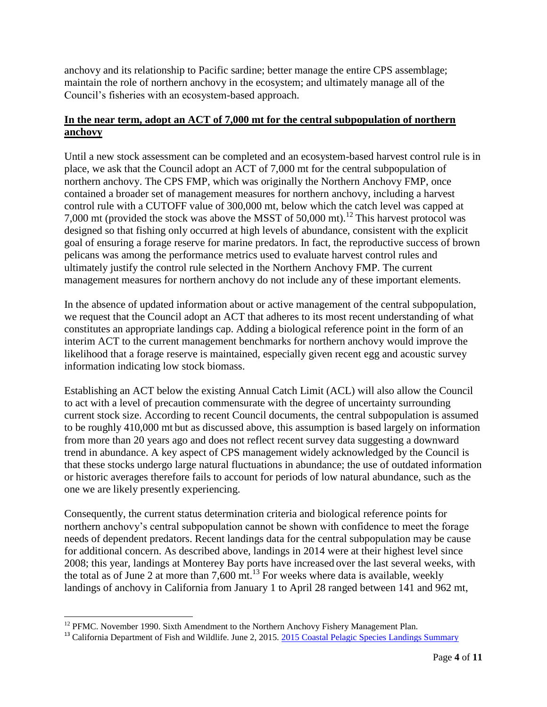anchovy and its relationship to Pacific sardine; better manage the entire CPS assemblage; maintain the role of northern anchovy in the ecosystem; and ultimately manage all of the Council's fisheries with an ecosystem-based approach.

### **In the near term, adopt an ACT of 7,000 mt for the central subpopulation of northern anchovy**

Until a new stock assessment can be completed and an ecosystem-based harvest control rule is in place, we ask that the Council adopt an ACT of 7,000 mt for the central subpopulation of northern anchovy. The CPS FMP, which was originally the Northern Anchovy FMP, once contained a broader set of management measures for northern anchovy, including a harvest control rule with a CUTOFF value of 300,000 mt, below which the catch level was capped at 7,000 mt (provided the stock was above the MSST of 50,000 mt).<sup>12</sup> This harvest protocol was designed so that fishing only occurred at high levels of abundance, consistent with the explicit goal of ensuring a forage reserve for marine predators. In fact, the reproductive success of brown pelicans was among the performance metrics used to evaluate harvest control rules and ultimately justify the control rule selected in the Northern Anchovy FMP. The current management measures for northern anchovy do not include any of these important elements.

In the absence of updated information about or active management of the central subpopulation, we request that the Council adopt an ACT that adheres to its most recent understanding of what constitutes an appropriate landings cap. Adding a biological reference point in the form of an interim ACT to the current management benchmarks for northern anchovy would improve the likelihood that a forage reserve is maintained, especially given recent egg and acoustic survey information indicating low stock biomass.

Establishing an ACT below the existing Annual Catch Limit (ACL) will also allow the Council to act with a level of precaution commensurate with the degree of uncertainty surrounding current stock size. According to recent Council documents, the central subpopulation is assumed to be roughly 410,000 mt but as discussed above, this assumption is based largely on information from more than 20 years ago and does not reflect recent survey data suggesting a downward trend in abundance. A key aspect of CPS management widely acknowledged by the Council is that these stocks undergo large natural fluctuations in abundance; the use of outdated information or historic averages therefore fails to account for periods of low natural abundance, such as the one we are likely presently experiencing.

Consequently, the current status determination criteria and biological reference points for northern anchovy's central subpopulation cannot be shown with confidence to meet the forage needs of dependent predators. Recent landings data for the central subpopulation may be cause for additional concern. As described above, landings in 2014 were at their highest level since 2008; this year, landings at Monterey Bay ports have increased over the last several weeks, with the total as of June 2 at more than  $7,600$  mt.<sup>13</sup> For weeks where data is available, weekly landings of anchovy in California from January 1 to April 28 ranged between 141 and 962 mt,

l  $12$  PFMC. November 1990. Sixth Amendment to the Northern Anchovy Fishery Management Plan.

<sup>&</sup>lt;sup>13</sup> California Department of Fish and Wildlife. June 2, 2015. [2015 Coastal Pelagic Species Landings Summary](https://nrm.dfg.ca.gov/FileHandler.ashx?DocumentID=93487&inline=true)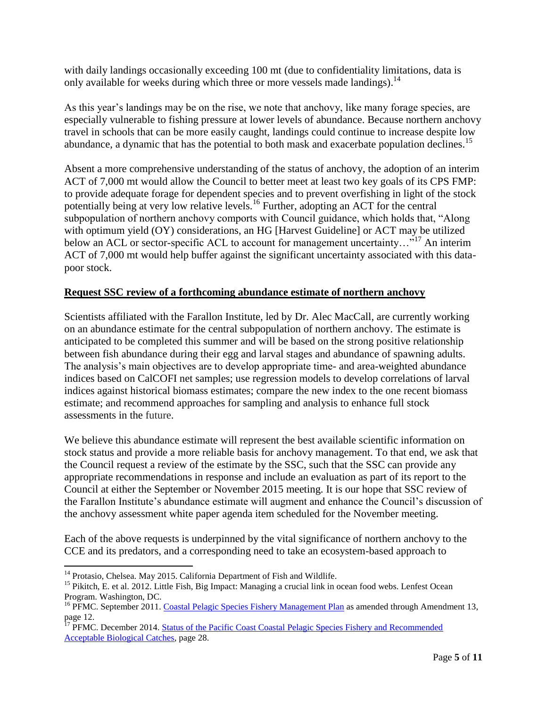with daily landings occasionally exceeding 100 mt (due to confidentiality limitations, data is only available for weeks during which three or more vessels made landings).<sup>14</sup>

As this year's landings may be on the rise, we note that anchovy, like many forage species, are especially vulnerable to fishing pressure at lower levels of abundance. Because northern anchovy travel in schools that can be more easily caught, landings could continue to increase despite low abundance, a dynamic that has the potential to both mask and exacerbate population declines.<sup>15</sup>

Absent a more comprehensive understanding of the status of anchovy, the adoption of an interim ACT of 7,000 mt would allow the Council to better meet at least two key goals of its CPS FMP: to provide adequate forage for dependent species and to prevent overfishing in light of the stock potentially being at very low relative levels.<sup>16</sup> Further, adopting an ACT for the central subpopulation of northern anchovy comports with Council guidance, which holds that, "Along with optimum yield (OY) considerations, an HG [Harvest Guideline] or ACT may be utilized below an ACL or sector-specific ACL to account for management uncertainty..."<sup>17</sup> An interim ACT of 7,000 mt would help buffer against the significant uncertainty associated with this datapoor stock.

#### **Request SSC review of a forthcoming abundance estimate of northern anchovy**

Scientists affiliated with the Farallon Institute, led by Dr. Alec MacCall, are currently working on an abundance estimate for the central subpopulation of northern anchovy. The estimate is anticipated to be completed this summer and will be based on the strong positive relationship between fish abundance during their egg and larval stages and abundance of spawning adults. The analysis's main objectives are to develop appropriate time- and area-weighted abundance indices based on CalCOFI net samples; use regression models to develop correlations of larval indices against historical biomass estimates; compare the new index to the one recent biomass estimate; and recommend approaches for sampling and analysis to enhance full stock assessments in the future.

We believe this abundance estimate will represent the best available scientific information on stock status and provide a more reliable basis for anchovy management. To that end, we ask that the Council request a review of the estimate by the SSC, such that the SSC can provide any appropriate recommendations in response and include an evaluation as part of its report to the Council at either the September or November 2015 meeting. It is our hope that SSC review of the Farallon Institute's abundance estimate will augment and enhance the Council's discussion of the anchovy assessment white paper agenda item scheduled for the November meeting.

Each of the above requests is underpinned by the vital significance of northern anchovy to the CCE and its predators, and a corresponding need to take an ecosystem-based approach to

 $\overline{\phantom{a}}$ <sup>14</sup> Protasio, Chelsea. May 2015. California Department of Fish and Wildlife.

<sup>&</sup>lt;sup>15</sup> Pikitch, E. et al. 2012. Little Fish, Big Impact: Managing a crucial link in ocean food webs. Lenfest Ocean Program. Washington, DC.

<sup>&</sup>lt;sup>16</sup> PFMC. September 2011. [Coastal Pelagic Species Fishery Management Plan](http://www.pcouncil.org/wp-content/uploads/CPS_FMP_as_Amended_thru_A13_current.pdf) as amended through Amendment 13, page 12.

<sup>&</sup>lt;sup>17</sup> PFMC. December 2014. Status of the Pacific Coast Coastal Pelagic Species Fishery and Recommended [Acceptable Biological Catches,](http://www.pcouncil.org/wp-content/uploads/2014_CPS_SAFE_Text_FINAL.pdf) page 28.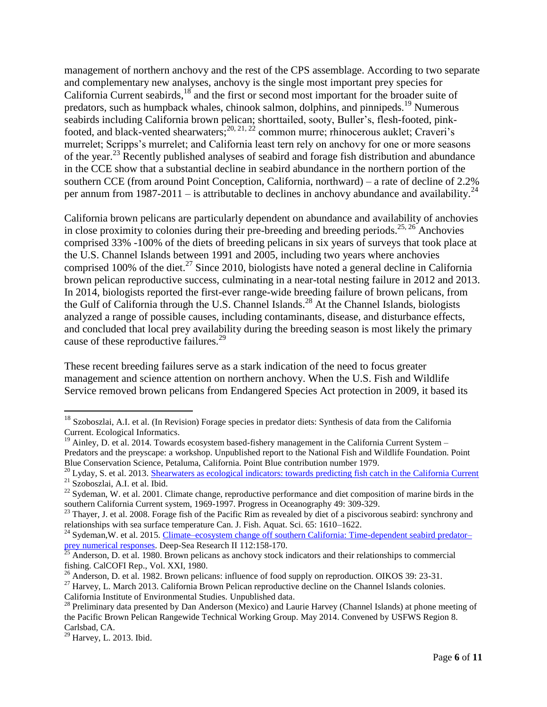management of northern anchovy and the rest of the CPS assemblage. According to two separate and complementary new analyses, anchovy is the single most important prey species for California Current seabirds,<sup>18</sup> and the first or second most important for the broader suite of predators, such as humpback whales, chinook salmon, dolphins, and pinnipeds.<sup>19</sup> Numerous seabirds including California brown pelican; shorttailed, sooty, Buller's, flesh-footed, pinkfooted, and black-vented shearwaters;<sup>20, 21, 22</sup> common murre; rhinocerous auklet; Craveri's murrelet; Scripps's murrelet; and California least tern rely on anchovy for one or more seasons of the year.<sup>23</sup> Recently published analyses of seabird and forage fish distribution and abundance in the CCE show that a substantial decline in seabird abundance in the northern portion of the southern CCE (from around Point Conception, California, northward) – a rate of decline of 2.2% per annum from 1987-2011 – is attributable to declines in anchovy abundance and availability.<sup>24</sup>

California brown pelicans are particularly dependent on abundance and availability of anchovies in close proximity to colonies during their pre-breeding and breeding periods.<sup>25, 26</sup> Anchovies comprised 33% -100% of the diets of breeding pelicans in six years of surveys that took place at the U.S. Channel Islands between 1991 and 2005, including two years where anchovies comprised 100% of the diet.<sup>27</sup> Since 2010, biologists have noted a general decline in California brown pelican reproductive success, culminating in a near-total nesting failure in 2012 and 2013. In 2014, biologists reported the first-ever range-wide breeding failure of brown pelicans, from the Gulf of California through the U.S. Channel Islands.<sup>28</sup> At the Channel Islands, biologists analyzed a range of possible causes, including contaminants, disease, and disturbance effects, and concluded that local prey availability during the breeding season is most likely the primary cause of these reproductive failures.<sup>29</sup>

These recent breeding failures serve as a stark indication of the need to focus greater management and science attention on northern anchovy. When the U.S. Fish and Wildlife Service removed brown pelicans from Endangered Species Act protection in 2009, it based its

 $\overline{\phantom{a}}$ 

<sup>&</sup>lt;sup>18</sup> Szoboszlai, A.I. et al. (In Revision) Forage species in predator diets: Synthesis of data from the California Current. Ecological Informatics.

 $19$  Ainley, D. et al. 2014. Towards ecosystem based-fishery management in the California Current System – Predators and the preyscape: a workshop. Unpublished report to the National Fish and Wildlife Foundation. Point Blue Conservation Science, Petaluma, California. Point Blue contribution number 1979.

<sup>&</sup>lt;sup>20</sup> Lyday, S. et al. 2013. [Shearwaters as ecological indicators: towards predicting fish catch in the California Current](https://app.box.com/s/o3cf5a2xssm3qvu19r9q/1/1161890651/10450888935/1)

<sup>21</sup> Szoboszlai, A.I. et al. Ibid.

 $^{22}$  Sydeman, W. et al. 2001. Climate change, reproductive performance and diet composition of marine birds in the southern California Current system, 1969-1997. Progress in Oceanography 49: 309-329.

 $^{23}$  Thayer, J. et al. 2008. Forage fish of the Pacific Rim as revealed by diet of a piscivorous seabird: synchrony and relationships with sea surface temperature Can. J. Fish. Aquat. Sci. 65: 1610–1622.

<sup>&</sup>lt;sup>24</sup> Sydeman, W. et al. 2015. [Climate–ecosystem change off southern California: Time-dependent seabird predator–](http://www.faralloninstitute.org/Publications/SydemanEtal2015DeepSeaRes.pdf) [prey numerical responses.](http://www.faralloninstitute.org/Publications/SydemanEtal2015DeepSeaRes.pdf) Deep-Sea Research II 112:158-170.

 $^{25}$  Anderson, D. et al. 1980. Brown pelicans as anchovy stock indicators and their relationships to commercial fishing. CalCOFI Rep., Vol. XXI, 1980.

<sup>&</sup>lt;sup>26</sup> Anderson, D. et al. 1982. Brown pelicans: influence of food supply on reproduction. OIKOS 39: 23-31.

<sup>&</sup>lt;sup>27</sup> Harvey, L. March 2013. California Brown Pelican reproductive decline on the Channel Islands colonies.

California Institute of Environmental Studies. Unpublished data.

<sup>&</sup>lt;sup>28</sup> Preliminary data presented by Dan Anderson (Mexico) and Laurie Harvey (Channel Islands) at phone meeting of the Pacific Brown Pelican Rangewide Technical Working Group. May 2014. Convened by USFWS Region 8. Carlsbad, CA.

 $29$  Harvey, L. 2013. Ibid.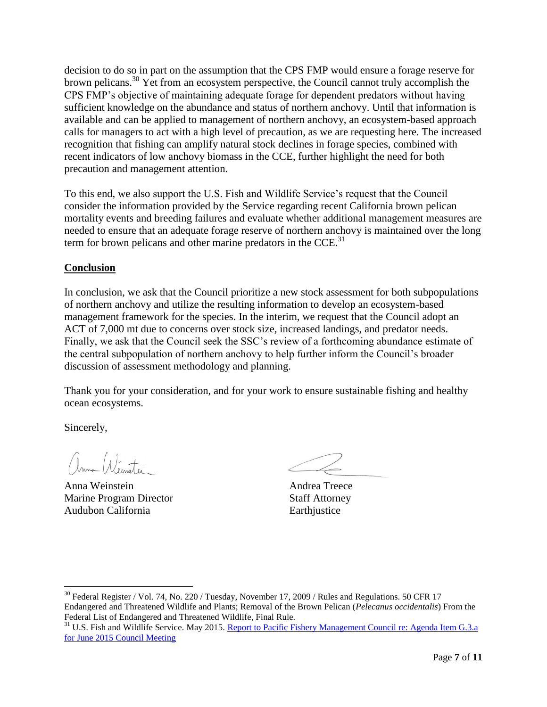decision to do so in part on the assumption that the CPS FMP would ensure a forage reserve for brown pelicans.<sup>30</sup> Yet from an ecosystem perspective, the Council cannot truly accomplish the CPS FMP's objective of maintaining adequate forage for dependent predators without having sufficient knowledge on the abundance and status of northern anchovy. Until that information is available and can be applied to management of northern anchovy, an ecosystem-based approach calls for managers to act with a high level of precaution, as we are requesting here. The increased recognition that fishing can amplify natural stock declines in forage species, combined with recent indicators of low anchovy biomass in the CCE, further highlight the need for both precaution and management attention.

To this end, we also support the U.S. Fish and Wildlife Service's request that the Council consider the information provided by the Service regarding recent California brown pelican mortality events and breeding failures and evaluate whether additional management measures are needed to ensure that an adequate forage reserve of northern anchovy is maintained over the long term for brown pelicans and other marine predators in the  $\text{CCE}$ <sup>31</sup>

## **Conclusion**

In conclusion, we ask that the Council prioritize a new stock assessment for both subpopulations of northern anchovy and utilize the resulting information to develop an ecosystem-based management framework for the species. In the interim, we request that the Council adopt an ACT of 7,000 mt due to concerns over stock size, increased landings, and predator needs. Finally, we ask that the Council seek the SSC's review of a forthcoming abundance estimate of the central subpopulation of northern anchovy to help further inform the Council's broader discussion of assessment methodology and planning.

Thank you for your consideration, and for your work to ensure sustainable fishing and healthy ocean ecosystems.

Sincerely,

 $\overline{a}$ 

anna Winstei

Anna Weinstein Andrea Treece Marine Program Director Staff Attorney Audubon California **Earth**iustice

<sup>30</sup> Federal Register / Vol. 74, No. 220 / Tuesday, November 17, 2009 / Rules and Regulations. 50 CFR 17 Endangered and Threatened Wildlife and Plants; Removal of the Brown Pelican (*Pelecanus occidentalis*) From the Federal List of Endangered and Threatened Wildlife, Final Rule.

<sup>&</sup>lt;sup>31</sup> U.S. Fish and Wildlife Service. May 2015. [Report to Pacific Fishery Management Council](http://www.pcouncil.org/wp-content/uploads/2015/05/G3a_USFWS_Rpt_JUN2015BB.pdf) re: Agenda Item G.3.a [for June 2015 Council Meeting](http://www.pcouncil.org/wp-content/uploads/2015/05/G3a_USFWS_Rpt_JUN2015BB.pdf)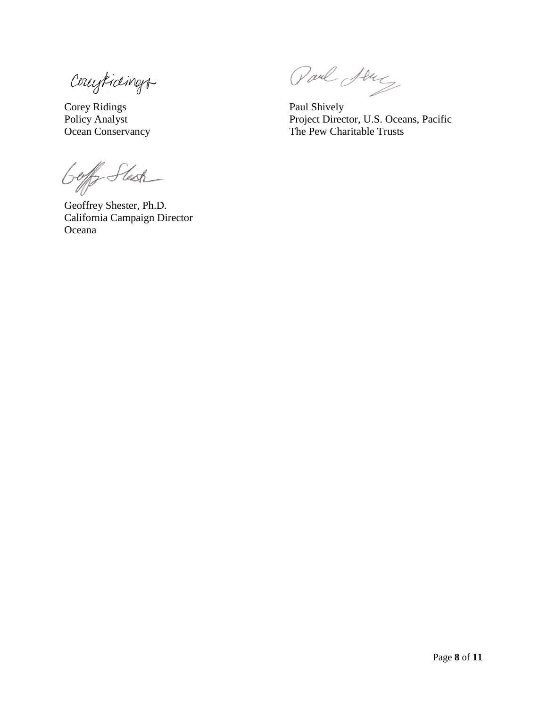Countings

Corey Ridings Paul Shively

Goff Stech

Geoffrey Shester, Ph.D. California Campaign Director Oceana

Paul Abrig

Policy Analyst Project Director, U.S. Oceans, Pacific Ocean Conservancy The Pew Charitable Trusts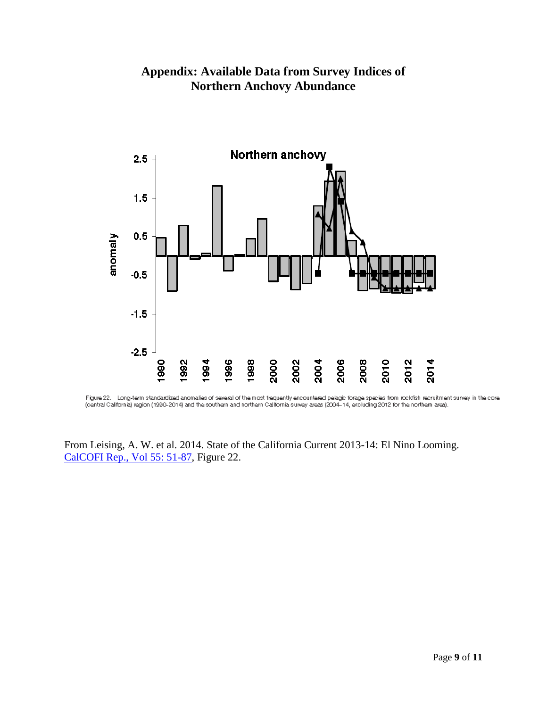

# **Appendix: Available Data from Survey Indices of Northern Anchovy Abundance**

Figure 22. Long-term standardized anomalies of several of the most frequently encountered pelagic forage species from rockfish recruitment survey in the core (central California) region (1990-2014) and the southern and northern California survey areas (2004-14, excluding 2012 for the northern area).

From Leising, A. W. et al. 2014. State of the California Current 2013-14: El Nino Looming. [CalCOFI Rep., Vol 55:](http://www.calcofi.org/publications/calcofireports/v55/Vol_55_SOTCC_51-87.pdf) 51-87, Figure 22.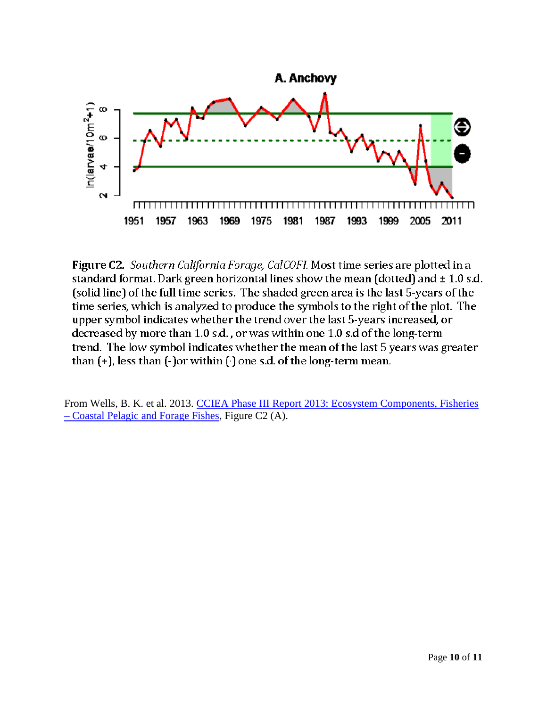

Figure C2. Southern California Forage, CalCOFI. Most time series are plotted in a standard format. Dark green horizontal lines show the mean (dotted) and  $\pm 1.0$  s.d. (solid line) of the full time series. The shaded green area is the last 5-years of the time series, which is analyzed to produce the symbols to the right of the plot. The upper symbol indicates whether the trend over the last 5-years increased, or decreased by more than 1.0 s.d., or was within one 1.0 s.d of the long-term trend. The low symbol indicates whether the mean of the last 5 years was greater than  $(+)$ , less than  $(-)$  or within  $(·)$  one s.d. of the long-term mean.

From Wells, B. K. et al. 2013. [CCIEA Phase III Report 2013: Ecosystem Components, Fisheries](http://www.noaa.gov/iea/Assets/iea/california/Report/pdf/5.Coastal%20pelagics%20forage_2013.pdf)  – [Coastal Pelagic and Forage Fishes,](http://www.noaa.gov/iea/Assets/iea/california/Report/pdf/5.Coastal%20pelagics%20forage_2013.pdf) Figure C2 (A).